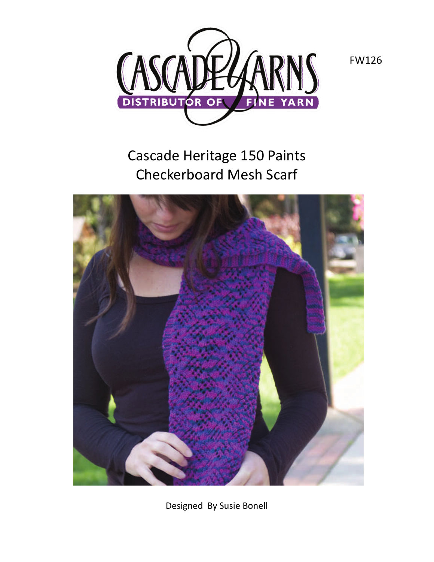

Cascade Heritage 150 Paints Checkerboard Mesh Scarf



Designed By Susie Bonell

FW126